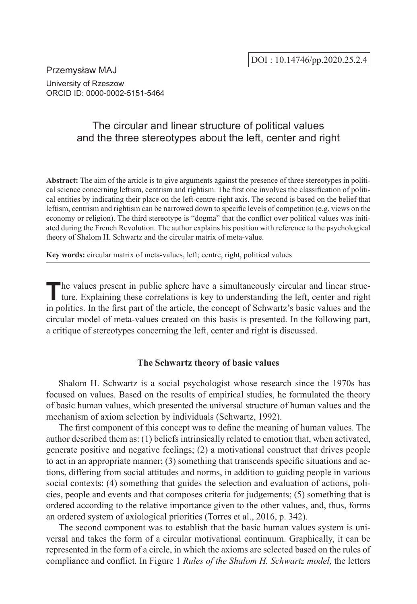Przemysław MAJ University of Rzeszow ORCID ID: 0000-0002-5151-5464

# The circular and linear structure of political values and the three stereotypes about the left, center and right

**Abstract:** The aim of the article is to give arguments against the presence of three stereotypes in political science concerning leftism, centrism and rightism. The first one involves the classification of political entities by indicating their place on the left-centre-right axis. The second is based on the belief that leftism, centrism and rightism can be narrowed down to specific levels of competition (e.g. views on the economy or religion). The third stereotype is "dogma" that the conflict over political values was initiated during the French Revolution. The author explains his position with reference to the psychological theory of Shalom H. Schwartz and the circular matrix of meta-value.

**Key words:** circular matrix of meta-values, left; centre, right, political values

The values present in public sphere have a simultaneously circular and linear structure. Explaining these correlations is key to understanding the left, center and right in politics. In the first part of the article, the concept of Schwartz's basic values and the circular model of meta-values created on this basis is presented. In the following part, a critique of stereotypes concerning the left, center and right is discussed.

# **The Schwartz theory of basic values**

Shalom H. Schwartz is a social psychologist whose research since the 1970s has focused on values. Based on the results of empirical studies, he formulated the theory of basic human values, which presented the universal structure of human values and the mechanism of axiom selection by individuals (Schwartz, 1992).

The first component of this concept was to define the meaning of human values. The author described them as: (1) beliefs intrinsically related to emotion that, when activated, generate positive and negative feelings; (2) a motivational construct that drives people to act in an appropriate manner; (3) something that transcends specific situations and actions, differing from social attitudes and norms, in addition to guiding people in various social contexts; (4) something that guides the selection and evaluation of actions, policies, people and events and that composes criteria for judgements; (5) something that is ordered according to the relative importance given to the other values, and, thus, forms an ordered system of axiological priorities (Torres et al., 2016, p. 342).

The second component was to establish that the basic human values system is universal and takes the form of a circular motivational continuum. Graphically, it can be represented in the form of a circle, in which the axioms are selected based on the rules of compliance and conflict. In Figure 1 *Rules of the Shalom H. Schwartz model*, the letters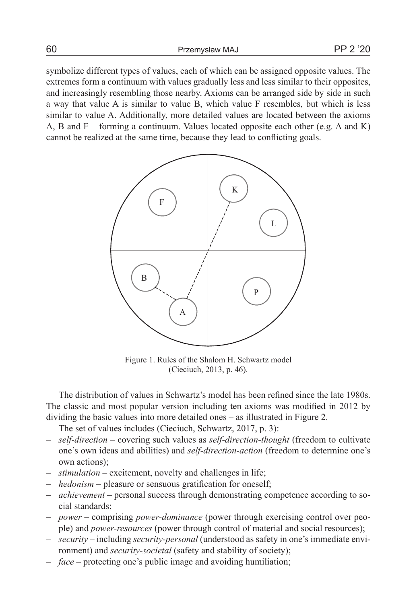60 Przemysław MAJ PP 2 '20

symbolize different types of values, each of which can be assigned opposite values. The extremes form a continuum with values gradually less and less similar to their opposites, and increasingly resembling those nearby. Axioms can be arranged side by side in such a way that value A is similar to value B, which value F resembles, but which is less similar to value A. Additionally, more detailed values are located between the axioms A, B and  $F$  – forming a continuum. Values located opposite each other (e.g. A and K) cannot be realized at the same time, because they lead to conflicting goals.



Figure 1. Rules of the Shalom H. Schwartz model (Cieciuch, 2013, p. 46).

The distribution of values in Schwartz's model has been refined since the late 1980s. The classic and most popular version including ten axioms was modified in 2012 by dividing the basic values into more detailed ones – as illustrated in Figure 2.

The set of values includes (Cieciuch, Schwartz, 2017, p. 3):

- *self-direction* covering such values as *self-direction-thought* (freedom to cultivate one's own ideas and abilities) and *self-direction-action* (freedom to determine one's own actions);
- *stimulation* excitement, novelty and challenges in life;
- *hedonism* pleasure or sensuous gratification for oneself;
- *achievement* personal success through demonstrating competence according to social standards;
- *power* comprising *power-dominance* (power through exercising control over people) and *power-resources* (power through control of material and social resources);
- *security* including *security*-*personal* (understood as safety in one's immediate environment) and *security*-*societal* (safety and stability of society);
- *face* protecting one's public image and avoiding humiliation;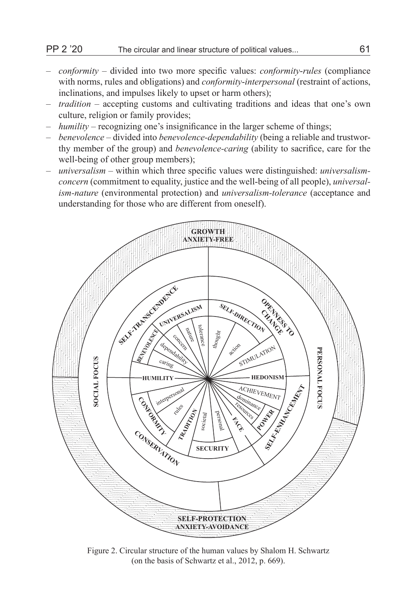- *conformity* divided into two more specific values: *conformity*-*rules* (compliance with norms, rules and obligations) and *conformity*-*interpersonal* (restraint of actions, inclinations, and impulses likely to upset or harm others);
- *tradition* accepting customs and cultivating traditions and ideas that one's own culture, religion or family provides;
- *humility* recognizing one's insignificance in the larger scheme of things;
- *benevolence* divided into *benevolence-dependability* (being a reliable and trustworthy member of the group) and *benevolence-caring* (ability to sacrifice, care for the well-being of other group members);
- *universalism* within which three specific values were distinguished: *universalismconcern* (commitment to equality, justice and the well-being of all people), *universalism-nature* (environmental protection) and *universalism-tolerance* (acceptance and understanding for those who are different from oneself).



Figure 2. Circular structure of the human values by Shalom H. Schwartz (on the basis of Schwartz et al., 2012, p. 669).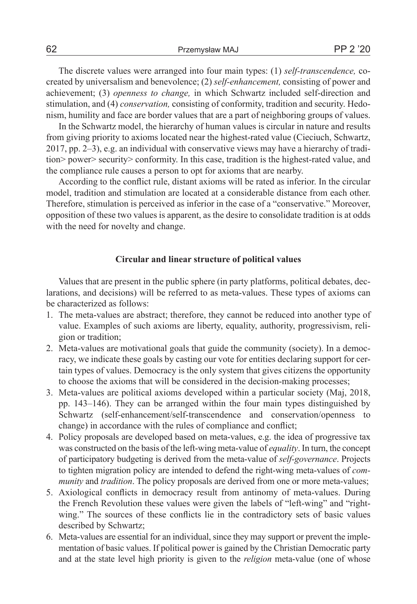The discrete values were arranged into four main types: (1) *self-transcendence,* cocreated by universalism and benevolence; (2) *self-enhancement,* consisting of power and achievement; (3) *openness to change,* in which Schwartz included self-direction and stimulation, and (4) *conservation,* consisting of conformity, tradition and security. Hedonism, humility and face are border values that are a part of neighboring groups of values.

In the Schwartz model, the hierarchy of human values is circular in nature and results from giving priority to axioms located near the highest-rated value (Cieciuch, Schwartz, 2017, pp. 2–3), e.g. an individual with conservative views may have a hierarchy of tradition> power> security> conformity. In this case, tradition is the highest-rated value, and the compliance rule causes a person to opt for axioms that are nearby.

According to the conflict rule, distant axioms will be rated as inferior. In the circular model, tradition and stimulation are located at a considerable distance from each other. Therefore, stimulation is perceived as inferior in the case of a "conservative." Moreover, opposition of these two values is apparent, as the desire to consolidate tradition is at odds with the need for novelty and change.

## **Circular and linear structure of political values**

Values that are present in the public sphere (in party platforms, political debates, declarations, and decisions) will be referred to as meta-values. These types of axioms can be characterized as follows:

- 1. The meta-values are abstract; therefore, they cannot be reduced into another type of value. Examples of such axioms are liberty, equality, authority, progressivism, religion or tradition;
- 2. Meta-values are motivational goals that guide the community (society). In a democracy, we indicate these goals by casting our vote for entities declaring support for certain types of values. Democracy is the only system that gives citizens the opportunity to choose the axioms that will be considered in the decision-making processes;
- 3. Meta-values are political axioms developed within a particular society (Maj, 2018, pp. 143–146). They can be arranged within the four main types distinguished by Schwartz (self-enhancement/self-transcendence and conservation/openness to change) in accordance with the rules of compliance and conflict;
- 4. Policy proposals are developed based on meta-values, e.g. the idea of progressive tax was constructed on the basis of the left-wing meta-value of *equality*. In turn, the concept of participatory budgeting is derived from the meta-value of *self-governance*. Projects to tighten migration policy are intended to defend the right-wing meta-values of *community* and *tradition*. The policy proposals are derived from one or more meta-values;
- 5. Axiological conflicts in democracy result from antinomy of meta-values. During the French Revolution these values were given the labels of "left-wing" and "rightwing." The sources of these conflicts lie in the contradictory sets of basic values described by Schwartz;
- 6. Meta-values are essential for an individual, since they may support or prevent the implementation of basic values. If political power is gained by the Christian Democratic party and at the state level high priority is given to the *religion* meta-value (one of whose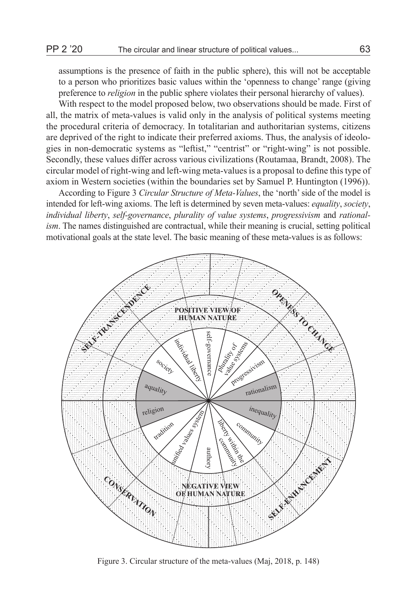assumptions is the presence of faith in the public sphere), this will not be acceptable to a person who prioritizes basic values within the 'openness to change' range (giving preference to *religion* in the public sphere violates their personal hierarchy of values).

With respect to the model proposed below, two observations should be made. First of all, the matrix of meta-values is valid only in the analysis of political systems meeting the procedural criteria of democracy. In totalitarian and authoritarian systems, citizens are deprived of the right to indicate their preferred axioms. Thus, the analysis of ideologies in non-democratic systems as "leftist," "centrist" or "right-wing" is not possible. Secondly, these values differ across various civilizations (Routamaa, Brandt, 2008). The circular model of right-wing and left-wing meta-values is a proposal to define this type of axiom in Western societies (within the boundaries set by Samuel P. Huntington (1996)).

According to Figure 3 *Circular Structure of Meta-Values*, the 'north' side of the model is intended for left-wing axioms. The left is determined by seven meta-values: *equality*, *society*, *individual liberty*, *self-governance*, *plurality of value systems*, *progressivism* and *rationalism*. The names distinguished are contractual, while their meaning is crucial, setting political motivational goals at the state level. The basic meaning of these meta-values is as follows:



Figure 3. Circular structure of the meta-values (Maj, 2018, p. 148)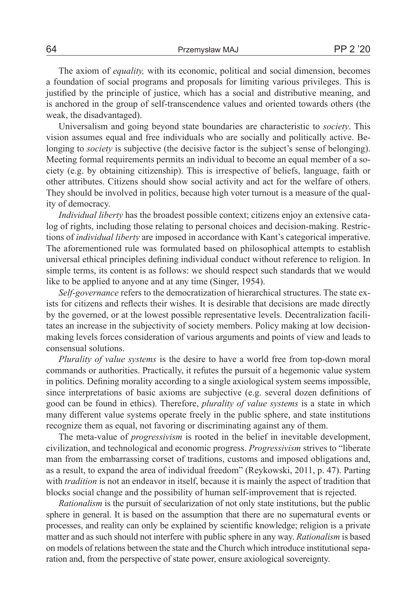The axiom of *equality,* with its economic, political and social dimension, becomes a foundation of social programs and proposals for limiting various privileges. This is justified by the principle of justice, which has a social and distributive meaning, and is anchored in the group of self-transcendence values and oriented towards others (the weak, the disadvantaged).

Universalism and going beyond state boundaries are characteristic to *society*. This vision assumes equal and free individuals who are socially and politically active. Belonging to *society* is subjective (the decisive factor is the subject's sense of belonging). Meeting formal requirements permits an individual to become an equal member of a society (e.g. by obtaining citizenship). This is irrespective of beliefs, language, faith or other attributes. Citizens should show social activity and act for the welfare of others. They should be involved in politics, because high voter turnout is a measure of the quality of democracy.

*Individual liberty* has the broadest possible context; citizens enjoy an extensive catalog of rights, including those relating to personal choices and decision-making. Restrictions of *individual liberty* are imposed in accordance with Kant's categorical imperative. The aforementioned rule was formulated based on philosophical attempts to establish universal ethical principles defining individual conduct without reference to religion. In simple terms, its content is as follows: we should respect such standards that we would like to be applied to anyone and at any time (Singer, 1954).

*Self-governance* refers to the democratization of hierarchical structures. The state exists for citizens and reflects their wishes. It is desirable that decisions are made directly by the governed, or at the lowest possible representative levels. Decentralization facilitates an increase in the subjectivity of society members. Policy making at low decisionmaking levels forces consideration of various arguments and points of view and leads to consensual solutions.

*Plurality of value systems* is the desire to have a world free from top-down moral commands or authorities. Practically, it refutes the pursuit of a hegemonic value system in politics. Defining morality according to a single axiological system seems impossible, since interpretations of basic axioms are subjective (e.g. several dozen definitions of good can be found in ethics). Therefore, *plurality of value systems* is a state in which many different value systems operate freely in the public sphere, and state institutions recognize them as equal, not favoring or discriminating against any of them.

The meta-value of *progressivism* is rooted in the belief in inevitable development, civilization, and technological and economic progress. *Progressivism* strives to "liberate man from the embarrassing corset of traditions, customs and imposed obligations and, as a result, to expand the area of individual freedom" (Reykowski, 2011, p. 47). Parting with *tradition* is not an endeavor in itself, because it is mainly the aspect of tradition that blocks social change and the possibility of human self-improvement that is rejected.

*Rationalism* is the pursuit of secularization of not only state institutions, but the public sphere in general. It is based on the assumption that there are no supernatural events or processes, and reality can only be explained by scientific knowledge; religion is a private matter and as such should not interfere with public sphere in any way. *Rationalism* is based on models of relations between the state and the Church which introduce institutional separation and, from the perspective of state power, ensure axiological sovereignty.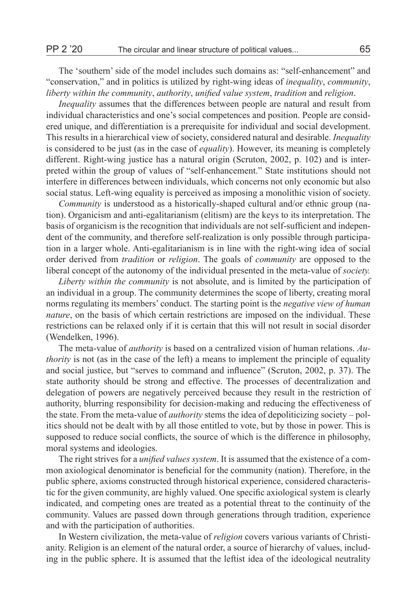The 'southern' side of the model includes such domains as: "self-enhancement" and "conservation," and in politics is utilized by right-wing ideas of *inequality*, *community*, *liberty within the community*, *authority*, *unified value system*, *tradition* and *religion*.

*Inequality* assumes that the differences between people are natural and result from individual characteristics and one's social competences and position. People are considered unique, and differentiation is a prerequisite for individual and social development. This results in a hierarchical view of society, considered natural and desirable. *Inequality*  is considered to be just (as in the case of *equality*). However, its meaning is completely different. Right-wing justice has a natural origin (Scruton, 2002, p. 102) and is interpreted within the group of values of "self-enhancement." State institutions should not interfere in differences between individuals, which concerns not only economic but also social status. Left-wing equality is perceived as imposing a monolithic vision of society.

*Community* is understood as a historically-shaped cultural and/or ethnic group (nation). Organicism and anti-egalitarianism (elitism) are the keys to its interpretation. The basis of organicism is the recognition that individuals are not self-sufficient and independent of the community, and therefore self-realization is only possible through participation in a larger whole. Anti-egalitarianism is in line with the right-wing idea of social order derived from *tradition* or *religion*. The goals of *community* are opposed to the liberal concept of the autonomy of the individual presented in the meta-value of *society.*

*Liberty within the community* is not absolute, and is limited by the participation of an individual in a group. The community determines the scope of liberty, creating moral norms regulating its members' conduct. The starting point is the *negative view of human nature*, on the basis of which certain restrictions are imposed on the individual. These restrictions can be relaxed only if it is certain that this will not result in social disorder (Wendelken, 1996).

The meta-value of *authority* is based on a centralized vision of human relations. *Authority* is not (as in the case of the left) a means to implement the principle of equality and social justice, but "serves to command and influence" (Scruton, 2002, p. 37). The state authority should be strong and effective. The processes of decentralization and delegation of powers are negatively perceived because they result in the restriction of authority, blurring responsibility for decision-making and reducing the effectiveness of the state. From the meta-value of *authority* stems the idea of depoliticizing society – politics should not be dealt with by all those entitled to vote, but by those in power. This is supposed to reduce social conflicts, the source of which is the difference in philosophy, moral systems and ideologies.

The right strives for a *unified values system*. It is assumed that the existence of a common axiological denominator is beneficial for the community (nation). Therefore, in the public sphere, axioms constructed through historical experience, considered characteristic for the given community, are highly valued. One specific axiological system is clearly indicated, and competing ones are treated as a potential threat to the continuity of the community. Values are passed down through generations through tradition, experience and with the participation of authorities.

In Western civilization, the meta-value of *religion* covers various variants of Christianity. Religion is an element of the natural order, a source of hierarchy of values, including in the public sphere. It is assumed that the leftist idea of the ideological neutrality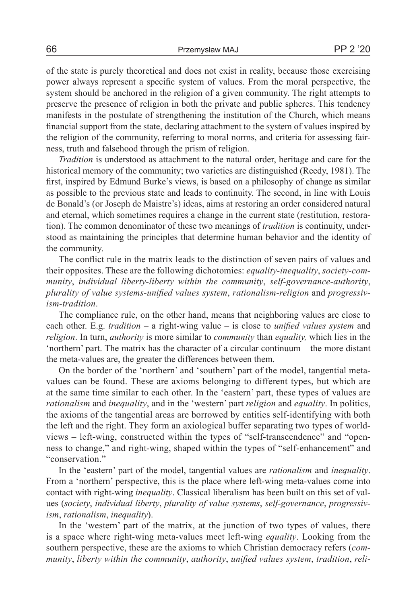of the state is purely theoretical and does not exist in reality, because those exercising power always represent a specific system of values. From the moral perspective, the system should be anchored in the religion of a given community. The right attempts to preserve the presence of religion in both the private and public spheres. This tendency manifests in the postulate of strengthening the institution of the Church, which means financial support from the state, declaring attachment to the system of values inspired by the religion of the community, referring to moral norms, and criteria for assessing fairness, truth and falsehood through the prism of religion.

*Tradition* is understood as attachment to the natural order, heritage and care for the historical memory of the community; two varieties are distinguished (Reedy, 1981). The first, inspired by Edmund Burke's views, is based on a philosophy of change as similar as possible to the previous state and leads to continuity. The second, in line with Louis de Bonald's (or Joseph de Maistre's) ideas, aims at restoring an order considered natural and eternal, which sometimes requires a change in the current state (restitution, restoration). The common denominator of these two meanings of *tradition* is continuity, understood as maintaining the principles that determine human behavior and the identity of the community.

The conflict rule in the matrix leads to the distinction of seven pairs of values and their opposites. These are the following dichotomies: *equality-inequality*, *society-community*, *individual liberty-liberty within the community*, *self-governance-authority*, *plurality of value systems-unified values system*, *rationalism-religion* and *progressivism-tradition*.

The compliance rule, on the other hand, means that neighboring values are close to each other. E.g. *tradition* – a right-wing value – is close to *unified values system* and *religion*. In turn, *authority* is more similar to *community* than *equality,* which lies in the 'northern' part. The matrix has the character of a circular continuum – the more distant the meta-values are, the greater the differences between them.

On the border of the 'northern' and 'southern' part of the model, tangential metavalues can be found. These are axioms belonging to different types, but which are at the same time similar to each other. In the 'eastern' part, these types of values are *rationalism* and *inequality*, and in the 'western' part *religion* and *equality*. In politics, the axioms of the tangential areas are borrowed by entities self-identifying with both the left and the right. They form an axiological buffer separating two types of worldviews – left-wing, constructed within the types of "self-transcendence" and "openness to change," and right-wing, shaped within the types of "self-enhancement" and "conservation."

In the 'eastern' part of the model, tangential values are *rationalism* and *inequality*. From a 'northern' perspective, this is the place where left-wing meta-values come into contact with right-wing *inequality*. Classical liberalism has been built on this set of values (*society*, *individual liberty*, *plurality of value systems*, *self-governance*, *progressivism*, *rationalism*, *inequality*).

In the 'western' part of the matrix, at the junction of two types of values, there is a space where right-wing meta-values meet left-wing *equality*. Looking from the southern perspective, these are the axioms to which Christian democracy refers (*community*, *liberty within the community*, *authority*, *unified values system*, *tradition*, *reli-*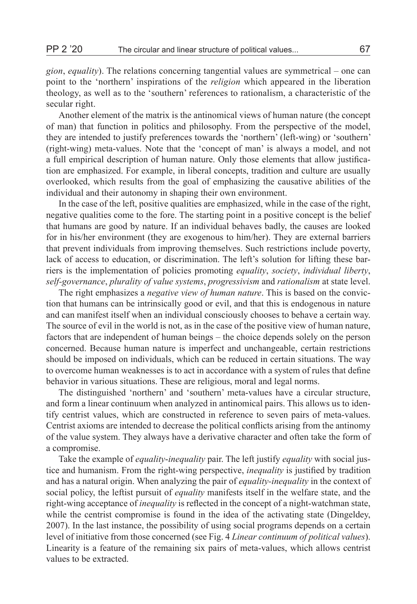*gion*, *equality*). The relations concerning tangential values are symmetrical – one can point to the 'northern' inspirations of the *religion* which appeared in the liberation theology, as well as to the 'southern' references to rationalism, a characteristic of the secular right.

Another element of the matrix is the antinomical views of human nature (the concept of man) that function in politics and philosophy. From the perspective of the model, they are intended to justify preferences towards the 'northern' (left-wing) or 'southern' (right-wing) meta-values. Note that the 'concept of man' is always a model, and not a full empirical description of human nature. Only those elements that allow justification are emphasized. For example, in liberal concepts, tradition and culture are usually overlooked, which results from the goal of emphasizing the causative abilities of the individual and their autonomy in shaping their own environment.

In the case of the left, positive qualities are emphasized, while in the case of the right, negative qualities come to the fore. The starting point in a positive concept is the belief that humans are good by nature. If an individual behaves badly, the causes are looked for in his/her environment (they are exogenous to him/her). They are external barriers that prevent individuals from improving themselves. Such restrictions include poverty, lack of access to education, or discrimination. The left's solution for lifting these barriers is the implementation of policies promoting *equality*, *society*, *individual liberty*, *self-governance*, *plurality of value systems*, *progressivism* and *rationalism* at state level.

The right emphasizes a *negative view of human nature*. This is based on the conviction that humans can be intrinsically good or evil, and that this is endogenous in nature and can manifest itself when an individual consciously chooses to behave a certain way. The source of evil in the world is not, as in the case of the positive view of human nature, factors that are independent of human beings – the choice depends solely on the person concerned. Because human nature is imperfect and unchangeable, certain restrictions should be imposed on individuals, which can be reduced in certain situations. The way to overcome human weaknesses is to act in accordance with a system of rules that define behavior in various situations. These are religious, moral and legal norms.

The distinguished 'northern' and 'southern' meta-values have a circular structure, and form a linear continuum when analyzed in antinomical pairs. This allows us to identify centrist values, which are constructed in reference to seven pairs of meta-values. Centrist axioms are intended to decrease the political conflicts arising from the antinomy of the value system. They always have a derivative character and often take the form of a compromise.

Take the example of *equality*-*inequality* pair. The left justify *equality* with social justice and humanism. From the right-wing perspective, *inequality* is justified by tradition and has a natural origin. When analyzing the pair of *equality-inequality* in the context of social policy, the leftist pursuit of *equality* manifests itself in the welfare state, and the right-wing acceptance of *inequality* is reflected in the concept of a night-watchman state, while the centrist compromise is found in the idea of the activating state (Dingeldey, 2007). In the last instance, the possibility of using social programs depends on a certain level of initiative from those concerned (see Fig. 4 *Linear continuum of political values*). Linearity is a feature of the remaining six pairs of meta-values, which allows centrist values to be extracted.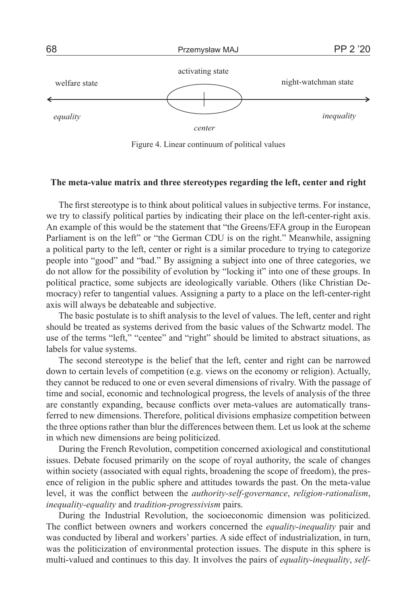

Figure 4. Linear continuum of political values

#### **The meta-value matrix and three stereotypes regarding the left, center and right**

The first stereotype is to think about political values in subjective terms. For instance, we try to classify political parties by indicating their place on the left-center-right axis. An example of this would be the statement that "the Greens/EFA group in the European Parliament is on the left" or "the German CDU is on the right." Meanwhile, assigning a political party to the left, center or right is a similar procedure to trying to categorize people into "good" and "bad." By assigning a subject into one of three categories, we do not allow for the possibility of evolution by "locking it" into one of these groups. In political practice, some subjects are ideologically variable. Others (like Christian Democracy) refer to tangential values. Assigning a party to a place on the left-center-right axis will always be debateable and subjective.

The basic postulate is to shift analysis to the level of values. The left, center and right should be treated as systems derived from the basic values of the Schwartz model. The use of the terms "left," "centee" and "right" should be limited to abstract situations, as labels for value systems.

The second stereotype is the belief that the left, center and right can be narrowed down to certain levels of competition (e.g. views on the economy or religion). Actually, they cannot be reduced to one or even several dimensions of rivalry. With the passage of time and social, economic and technological progress, the levels of analysis of the three are constantly expanding, because conflicts over meta-values are automatically transferred to new dimensions. Therefore, political divisions emphasize competition between the three options rather than blur the differences between them. Let us look at the scheme in which new dimensions are being politicized.

During the French Revolution, competition concerned axiological and constitutional issues. Debate focused primarily on the scope of royal authority, the scale of changes within society (associated with equal rights, broadening the scope of freedom), the presence of religion in the public sphere and attitudes towards the past. On the meta-value level, it was the conflict between the *authority-self-governance*, *religion-rationalism*, *inequality-equality* and *tradition-progressivism* pairs.

During the Industrial Revolution, the socioeconomic dimension was politicized. The conflict between owners and workers concerned the *equality-inequality* pair and was conducted by liberal and workers' parties. A side effect of industrialization, in turn, was the politicization of environmental protection issues. The dispute in this sphere is multi-valued and continues to this day. It involves the pairs of *equality-inequality*, *self-*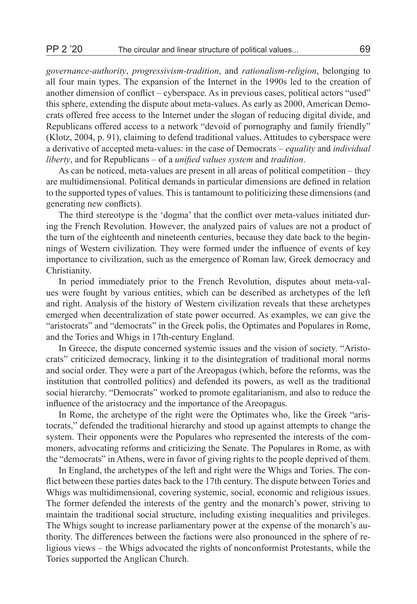*governance-authority*, *progressivism-tradition*, and *rationalism-religion*, belonging to all four main types. The expansion of the Internet in the 1990s led to the creation of another dimension of conflict – cyberspace. As in previous cases, political actors "used" this sphere, extending the dispute about meta-values. As early as 2000, American Democrats offered free access to the Internet under the slogan of reducing digital divide, and Republicans offered access to a network "devoid of pornography and family friendly" (Klotz, 2004, p. 91), claiming to defend traditional values. Attitudes to cyberspace were a derivative of accepted meta-values: in the case of Democrats – *equality* and *individual liberty*, and for Republicans – of a *unified values system* and *tradition*.

As can be noticed, meta-values are present in all areas of political competition – they are multidimensional. Political demands in particular dimensions are defined in relation to the supported types of values. This is tantamount to politicizing these dimensions (and generating new conflicts).

The third stereotype is the 'dogma' that the conflict over meta-values initiated during the French Revolution. However, the analyzed pairs of values are not a product of the turn of the eighteenth and nineteenth centuries, because they date back to the beginnings of Western civilization. They were formed under the influence of events of key importance to civilization, such as the emergence of Roman law, Greek democracy and Christianity.

In period immediately prior to the French Revolution, disputes about meta-values were fought by various entities, which can be described as archetypes of the left and right. Analysis of the history of Western civilization reveals that these archetypes emerged when decentralization of state power occurred. As examples, we can give the "aristocrats" and "democrats" in the Greek polis, the Optimates and Populares in Rome, and the Tories and Whigs in 17th-century England.

In Greece, the dispute concerned systemic issues and the vision of society. "Aristocrats" criticized democracy, linking it to the disintegration of traditional moral norms and social order. They were a part of the Areopagus (which, before the reforms, was the institution that controlled politics) and defended its powers, as well as the traditional social hierarchy. "Democrats" worked to promote egalitarianism, and also to reduce the influence of the aristocracy and the importance of the Areopagus.

In Rome, the archetype of the right were the Optimates who, like the Greek "aristocrats," defended the traditional hierarchy and stood up against attempts to change the system. Their opponents were the Populares who represented the interests of the commoners, advocating reforms and criticizing the Senate. The Populares in Rome, as with the "democrats" in Athens, were in favor of giving rights to the people deprived of them.

In England, the archetypes of the left and right were the Whigs and Tories. The conflict between these parties dates back to the 17th century. The dispute between Tories and Whigs was multidimensional, covering systemic, social, economic and religious issues. The former defended the interests of the gentry and the monarch's power, striving to maintain the traditional social structure, including existing inequalities and privileges. The Whigs sought to increase parliamentary power at the expense of the monarch's authority. The differences between the factions were also pronounced in the sphere of religious views – the Whigs advocated the rights of nonconformist Protestants, while the Tories supported the Anglican Church.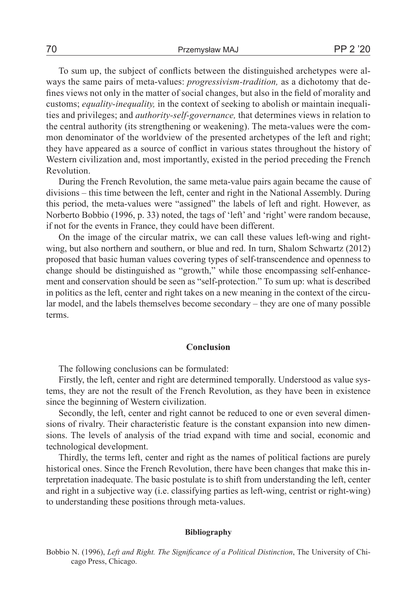To sum up, the subject of conflicts between the distinguished archetypes were always the same pairs of meta-values: *progressivism-tradition,* as a dichotomy that defines views not only in the matter of social changes, but also in the field of morality and customs; *equality-inequality,* in the context of seeking to abolish or maintain inequalities and privileges; and *authority-self-governance,* that determines views in relation to the central authority (its strengthening or weakening). The meta-values were the common denominator of the worldview of the presented archetypes of the left and right; they have appeared as a source of conflict in various states throughout the history of Western civilization and, most importantly, existed in the period preceding the French Revolution.

During the French Revolution, the same meta-value pairs again became the cause of divisions – this time between the left, center and right in the National Assembly. During this period, the meta-values were "assigned" the labels of left and right. However, as Norberto Bobbio (1996, p. 33) noted, the tags of 'left' and 'right' were random because, if not for the events in France, they could have been different.

On the image of the circular matrix, we can call these values left-wing and rightwing, but also northern and southern, or blue and red. In turn, Shalom Schwartz (2012) proposed that basic human values covering types of self-transcendence and openness to change should be distinguished as "growth," while those encompassing self-enhancement and conservation should be seen as "self-protection." To sum up: what is described in politics as the left, center and right takes on a new meaning in the context of the circular model, and the labels themselves become secondary – they are one of many possible terms.

## **Conclusion**

The following conclusions can be formulated:

Firstly, the left, center and right are determined temporally. Understood as value systems, they are not the result of the French Revolution, as they have been in existence since the beginning of Western civilization.

Secondly, the left, center and right cannot be reduced to one or even several dimensions of rivalry. Their characteristic feature is the constant expansion into new dimensions. The levels of analysis of the triad expand with time and social, economic and technological development.

Thirdly, the terms left, center and right as the names of political factions are purely historical ones. Since the French Revolution, there have been changes that make this interpretation inadequate. The basic postulate is to shift from understanding the left, center and right in a subjective way (i.e. classifying parties as left-wing, centrist or right-wing) to understanding these positions through meta-values.

#### **Bibliography**

Bobbio N. (1996), *Left and Right. The Significance of a Political Distinction*, The University of Chicago Press, Chicago.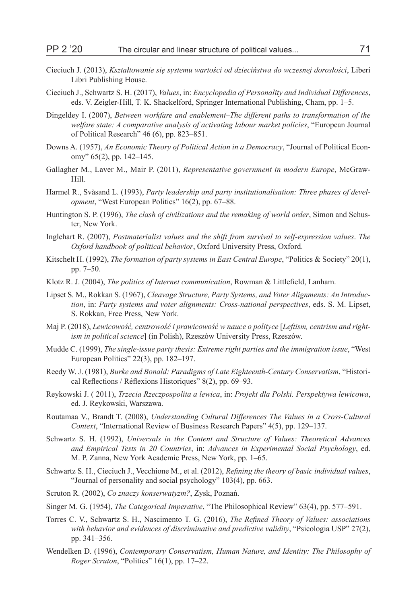- Cieciuch J. (2013), *Kształtowanie się systemu wartości od dzieciństwa do wczesnej dorosłości*, Liberi Libri Publishing House.
- Cieciuch J., Schwartz S. H. (2017), *Values*, in: *Encyclopedia of Personality and Individual Differences*, eds. V. Zeigler-Hill, T. K. Shackelford, Springer International Publishing, Cham, pp. 1–5.
- Dingeldey I. (2007), *Between workfare and enablement–The different paths to transformation of the welfare state: A comparative analysis of activating labour market policies*, "European Journal of Political Research" 46 (6), pp. 823–851.
- Downs A. (1957), *An Economic Theory of Political Action in a Democracy*, "Journal of Political Economy" 65(2), pp. 142–145.
- Gallagher M., Laver M., Mair P. (2011), *Representative government in modern Europe*, McGraw-Hill.
- Harmel R., Svåsand L. (1993), *Party leadership and party institutionalisation: Three phases of development*, "West European Politics" 16(2), pp. 67–88.
- Huntington S. P. (1996), *The clash of civilizations and the remaking of world order*, Simon and Schuster, New York.
- Inglehart R. (2007), *Postmaterialist values and the shift from survival to self-expression values*. *The Oxford handbook of political behavior*, Oxford University Press, Oxford.
- Kitschelt H. (1992), *The formation of party systems in East Central Europe*, "Politics & Society" 20(1), pp. 7–50.
- Klotz R. J. (2004), *The politics of Internet communication*, Rowman & Littlefield, Lanham.
- Lipset S. M., Rokkan S. (1967), *Cleavage Structure, Party Systems, and Voter Alignments: An Introduction*, in: *Party systems and voter alignments: Cross-national perspectives*, eds. S. M. Lipset, S. Rokkan, Free Press, New York.
- Maj P. (2018), *Lewicowość, centrowość i prawicowość w nauce o polityce* [*Leftism, centrism and rightism in political science*] (in Polish), Rzeszów University Press, Rzeszów.
- Mudde C. (1999), *The single-issue party thesis: Extreme right parties and the immigration issue*, "West European Politics" 22(3), pp. 182–197.
- Reedy W. J. (1981), *Burke and Bonald: Paradigms of Late Eighteenth-Century Conservatism*, "Historical Reflections / Réflexions Historiques" 8(2), pp. 69–93.
- Reykowski J. ( 2011), *Trzecia Rzeczpospolita a lewica*, in: *Projekt dla Polski. Perspektywa lewicowa*, ed. J. Reykowski, Warszawa.
- Routamaa V., Brandt T. (2008), *Understanding Cultural Differences The Values in a Cross-Cultural Context*, "International Review of Business Research Papers" 4(5), pp. 129–137.
- Schwartz S. H. (1992), *Universals in the Content and Structure of Values: Theoretical Advances and Empirical Tests in 20 Countries*, in: *Advances in Experimental Social Psychology*, ed. M. P. Zanna, New York Academic Press, New York, pp. 1–65.
- Schwartz S. H., Cieciuch J., Vecchione M., et al. (2012), *Refining the theory of basic individual values*, "Journal of personality and social psychology" 103(4), pp. 663.
- Scruton R. (2002), *Co znaczy konserwatyzm?*, Zysk, Poznań.
- Singer M. G. (1954), *The Categorical Imperative*, "The Philosophical Review" 63(4), pp. 577–591.
- Torres C. V., Schwartz S. H., Nascimento T. G. (2016), *The Refined Theory of Values: associations with behavior and evidences of discriminative and predictive validity*, "Psicologia USP" 27(2), pp. 341–356.
- Wendelken D. (1996), *Contemporary Conservatism, Human Nature, and Identity: The Philosophy of Roger Scruton*, "Politics" 16(1), pp. 17–22.